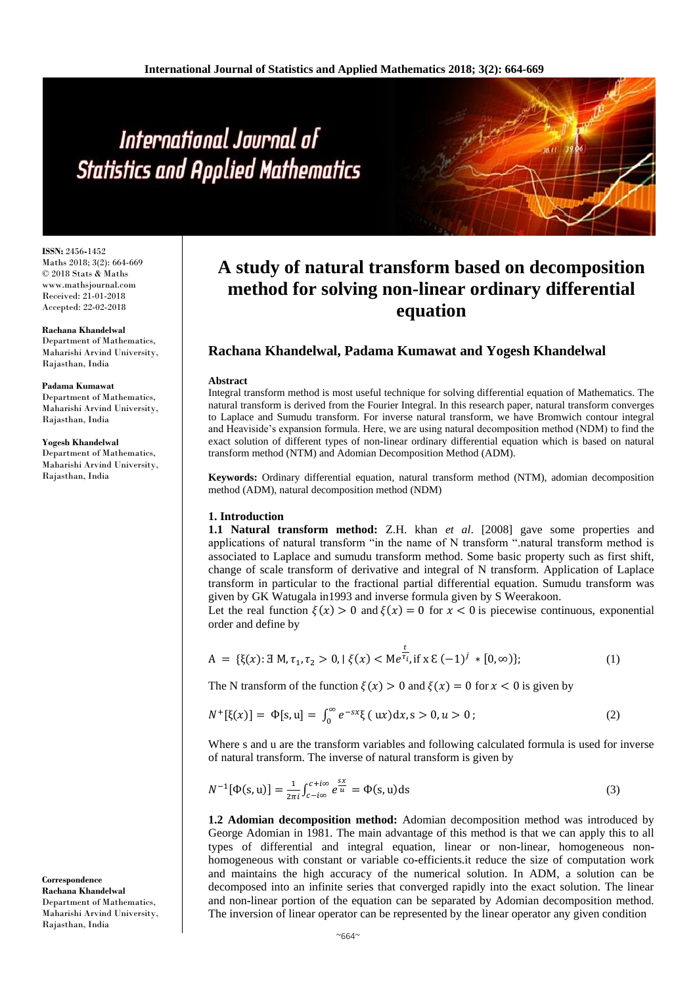**ISSN:** 2456**-**1452 Maths 2018; 3(2): 664-669 © 2018 Stats & Maths www.mathsjournal.com Received: 21-01-2018 Accepted: 22-02-2018

**Rachana Khandelwal** Department of Mathematics, Maharishi Arvind University, Rajasthan, India

#### **Padama Kumawat**

Department of Mathematics, Maharishi Arvind University, Rajasthan, India

#### **Yogesh Khandelwal**

Department of Mathematics, Maharishi Arvind University, Rajasthan, India

**Correspondence Rachana Khandelwal** Department of Mathematics, Maharishi Arvind University, Rajasthan, India

# **A study of natural transform based on decomposition method for solving non-linear ordinary differential equation**

# **Rachana Khandelwal, Padama Kumawat and Yogesh Khandelwal**

#### **Abstract**

Integral transform method is most useful technique for solving differential equation of Mathematics. The natural transform is derived from the Fourier Integral. In this research paper, natural transform converges to Laplace and Sumudu transform. For inverse natural transform, we have Bromwich contour integral and Heaviside's expansion formula. Here, we are using natural decomposition method (NDM) to find the exact solution of different types of non**-**linear ordinary differential equation which is based on natural transform method (NTM) and Adomian Decomposition Method (ADM).

**Keywords:** Ordinary differential equation, natural transform method (NTM), adomian decomposition method (ADM), natural decomposition method (NDM)

### **1. Introduction**

**1.1 Natural transform method:** Z.H. khan *et al*. [2008] gave some properties and applications of natural transform "in the name of N transform ".natural transform method is associated to Laplace and sumudu transform method. Some basic property such as first shift, change of scale transform of derivative and integral of N transform. Application of Laplace transform in particular to the fractional partial differential equation. Sumudu transform was given by GK Watugala in1993 and inverse formula given by S Weerakoon.

Let the real function  $\xi(x) > 0$  and  $\xi(x) = 0$  for  $x < 0$  is piecewise continuous, exponential order and define by

$$
A = \{\xi(x): \exists M, \tau_1, \tau_2 > 0, \mid \xi(x) < Me^{\frac{t}{\tau_i}}, \text{if } x \in (-1)^j * [0, \infty)\};\tag{1}
$$

The N transform of the function  $\xi(x) > 0$  and  $\xi(x) = 0$  for  $x < 0$  is given by

$$
N^{+}[\xi(x)] = \Phi[s, u] = \int_0^{\infty} e^{-sx}\xi(ux)dx, s > 0, u > 0;
$$
 (2)

Where s and u are the transform variables and following calculated formula is used for inverse of natural transform. The inverse of natural transform is given by

$$
N^{-1}[\Phi(s, u)] = \frac{1}{2\pi i} \int_{c-i\infty}^{c+i\infty} e^{\frac{sx}{u}} = \Phi(s, u) ds
$$
 (3)

**1.2 Adomian decomposition method:** Adomian decomposition method was introduced by George Adomian in 1981. The main advantage of this method is that we can apply this to all types of differential and integral equation, linear or non**-**linear, homogeneous nonhomogeneous with constant or variable co**-**efficients.it reduce the size of computation work and maintains the high accuracy of the numerical solution. In ADM, a solution can be decomposed into an infinite series that converged rapidly into the exact solution. The linear and non**-**linear portion of the equation can be separated by Adomian decomposition method. The inversion of linear operator can be represented by the linear operator any given condition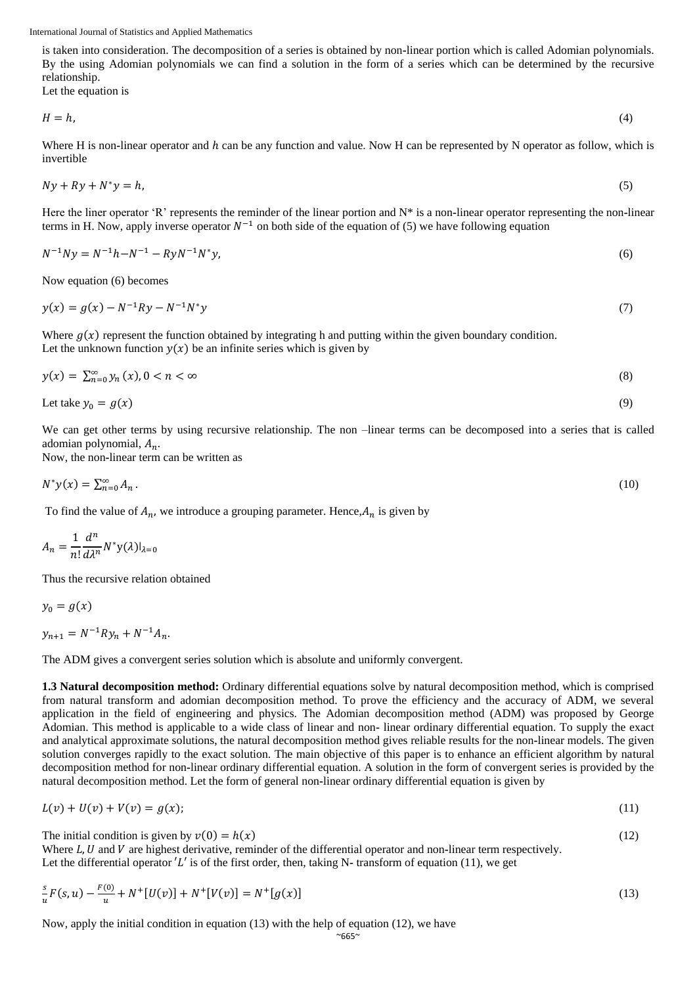is taken into consideration. The decomposition of a series is obtained by non**-**linear portion which is called Adomian polynomials. By the using Adomian polynomials we can find a solution in the form of a series which can be determined by the recursive relationship.

Let the equation is

$$
H = h,\tag{4}
$$

Where H is non-linear operator and h can be any function and value. Now H can be represented by N operator as follow, which is invertible

$$
Ny + Ry + N^*y = h,\tag{5}
$$

Here the liner operator 'R' represents the reminder of the linear portion and N\* is a non**-**linear operator representing the non**-**linear terms in H. Now, apply inverse operator  $N^{-1}$  on both side of the equation of (5) we have following equation

$$
N^{-1}Ny = N^{-1}h - N^{-1} - RyN^{-1}N^*y,
$$
\n(6)

Now equation (6) becomes

$$
y(x) = g(x) - N^{-1}Ry - N^{-1}N^*y
$$
\n(7)

Where  $g(x)$  represent the function obtained by integrating h and putting within the given boundary condition. Let the unknown function  $y(x)$  be an infinite series which is given by

$$
y(x) = \sum_{n=0}^{\infty} y_n(x), 0 < n < \infty \tag{8}
$$

Let take 
$$
y_0 = g(x)
$$
 (9)

We can get other terms by using recursive relationship. The non –linear terms can be decomposed into a series that is called adomian polynomial,  $A_n$ .

Now, the non**-**linear term can be written as

$$
N^*y(x) = \sum_{n=0}^{\infty} A_n.
$$

To find the value of  $A_n$ , we introduce a grouping parameter. Hence,  $A_n$  is given by

$$
A_n = \frac{1}{n!} \frac{d^n}{d\lambda^n} N^* \mathbf{y}(\lambda) |_{\lambda=0}
$$

Thus the recursive relation obtained

$$
y_0=g(x)
$$

 $y_{n+1} = N^{-1} R y_n + N^{-1} A_n.$ 

The ADM gives a convergent series solution which is absolute and uniformly convergent.

**1.3 Natural decomposition method:** Ordinary differential equations solve by natural decomposition method, which is comprised from natural transform and adomian decomposition method. To prove the efficiency and the accuracy of ADM, we several application in the field of engineering and physics. The Adomian decomposition method (ADM) was proposed by George Adomian. This method is applicable to a wide class of linear and non**-** linear ordinary differential equation. To supply the exact and analytical approximate solutions, the natural decomposition method gives reliable results for the non**-**linear models. The given solution converges rapidly to the exact solution. The main objective of this paper is to enhance an efficient algorithm by natural decomposition method for non**-**linear ordinary differential equation. A solution in the form of convergent series is provided by the natural decomposition method. Let the form of general non**-**linear ordinary differential equation is given by

$$
L(v) + U(v) + V(v) = g(x); \tag{11}
$$

The initial condition is given by  $v(0) = h(x)$  (12)

Where  $L, U$  and  $V$  are highest derivative, reminder of the differential operator and non-linear term respectively. Let the differential operator  $'L'$  is of the first order, then, taking N- transform of equation (11), we get

$$
\frac{s}{u}F(s,u) - \frac{F(0)}{u} + N^+[U(v)] + N^+[V(v)] = N^+[g(x)]\tag{13}
$$

Now, apply the initial condition in equation (13) with the help of equation (12), we have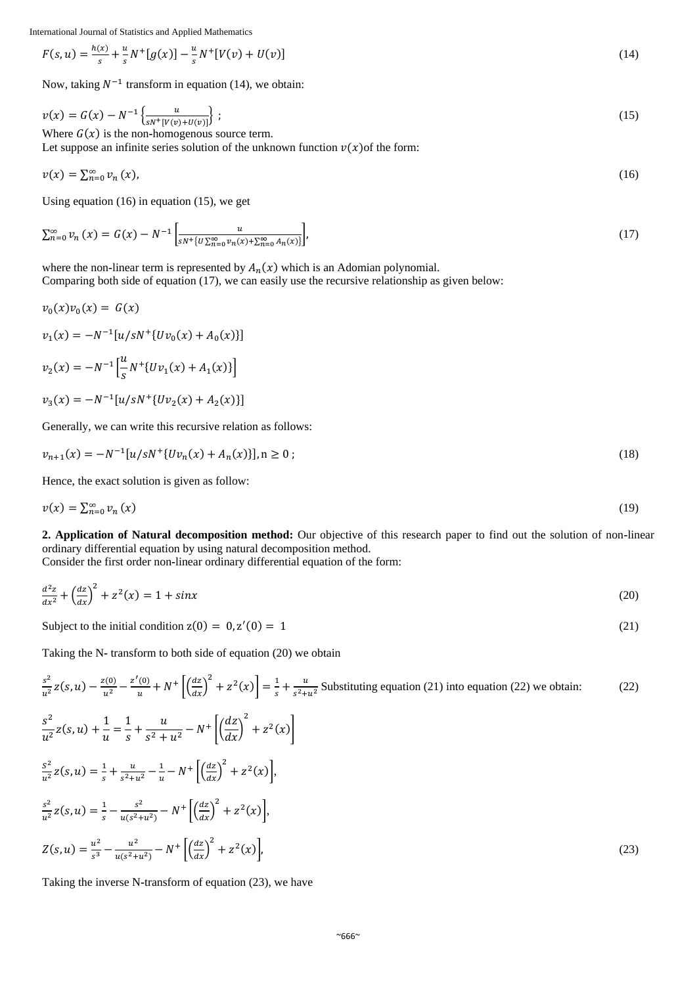$$
F(s, u) = \frac{h(x)}{s} + \frac{u}{s} N^+ [g(x)] - \frac{u}{s} N^+ [V(v) + U(v)]
$$
\n(14)

Now, taking  $N^{-1}$  transform in equation (14), we obtain:

$$
v(x) = G(x) - N^{-1} \left\{ \frac{u}{s N + [V(v) + U(v)]} \right\};
$$
  
Where  $G(x)$  is the non-homogenous source term. (15)

Let suppose an infinite series solution of the unknown function  $v(x)$  of the form:

$$
v(x) = \sum_{n=0}^{\infty} v_n(x),
$$
 (16)

Using equation (16) in equation (15), we get

$$
\sum_{n=0}^{\infty} \nu_n(x) = G(x) - N^{-1} \left[ \frac{u}{s^{N} \{ U \sum_{n=0}^{\infty} \nu_n(x) + \sum_{n=0}^{\infty} A_n(x) \} } \right],
$$
\n(17)

where the non-linear term is represented by  $A_n(x)$  which is an Adomian polynomial. Comparing both side of equation (17), we can easily use the recursive relationship as given below:

$$
v_0(x)v_0(x) = G(x)
$$
  
\n
$$
v_1(x) = -N^{-1}[u/sN^{+}\{Uv_0(x) + A_0(x)\}]
$$
  
\n
$$
v_2(x) = -N^{-1}\left[\frac{u}{s}N^{+}\{Uv_1(x) + A_1(x)\}\right]
$$
  
\n
$$
v_3(x) = -N^{-1}[u/sN^{+}\{Uv_2(x) + A_2(x)\}]
$$

Generally, we can write this recursive relation as follows:

$$
v_{n+1}(x) = -N^{-1}[u/sN^{+}\{Uv_{n}(x) + A_{n}(x)\}], n \ge 0 \tag{18}
$$

Hence, the exact solution is given as follow:

$$
v(x) = \sum_{n=0}^{\infty} v_n(x) \tag{19}
$$

**2. Application of Natural decomposition method:** Our objective of this research paper to find out the solution of non**-**linear ordinary differential equation by using natural decomposition method.

Consider the first order non**-**linear ordinary differential equation of the form:

$$
\frac{d^2z}{dx^2} + \left(\frac{dz}{dx}\right)^2 + z^2(x) = 1 + \sin x \tag{20}
$$

Subject to the initial condition  $z(0) = 0, z'$  $(0) = 1$  (21)

Taking the N**-** transform to both side of equation (20) we obtain

$$
\frac{s^2}{u^2}z(s,u) - \frac{z(0)}{u^2} - \frac{z'(0)}{u} + N^+ \left[ \left(\frac{dz}{dx}\right)^2 + z^2(x) \right] = \frac{1}{s} + \frac{u}{s^2 + u^2}
$$
 Substituting equation (21) into equation (22) we obtain:  
\n
$$
\frac{s^2}{u^2}z(s,u) + \frac{1}{u} = \frac{1}{s} + \frac{u}{s^2 + u^2} - N^+ \left[ \left(\frac{dz}{dx}\right)^2 + z^2(x) \right]
$$
\n
$$
\frac{s^2}{u^2}z(s,u) = \frac{1}{s} + \frac{u}{s^2 + u^2} - \frac{1}{u} - N^+ \left[ \left(\frac{dz}{dx}\right)^2 + z^2(x) \right],
$$
\n
$$
\frac{s^2}{u^2}z(s,u) = \frac{1}{s} - \frac{s^2}{u(s^2 + u^2)} - N^+ \left[ \left(\frac{dz}{dx}\right)^2 + z^2(x) \right],
$$
\n
$$
Z(s,u) = \frac{u^2}{s^3} - \frac{u^2}{u(s^2 + u^2)} - N^+ \left[ \left(\frac{dz}{dx}\right)^2 + z^2(x) \right],
$$
\n(23)

Taking the inverse N**-**transform of equation (23), we have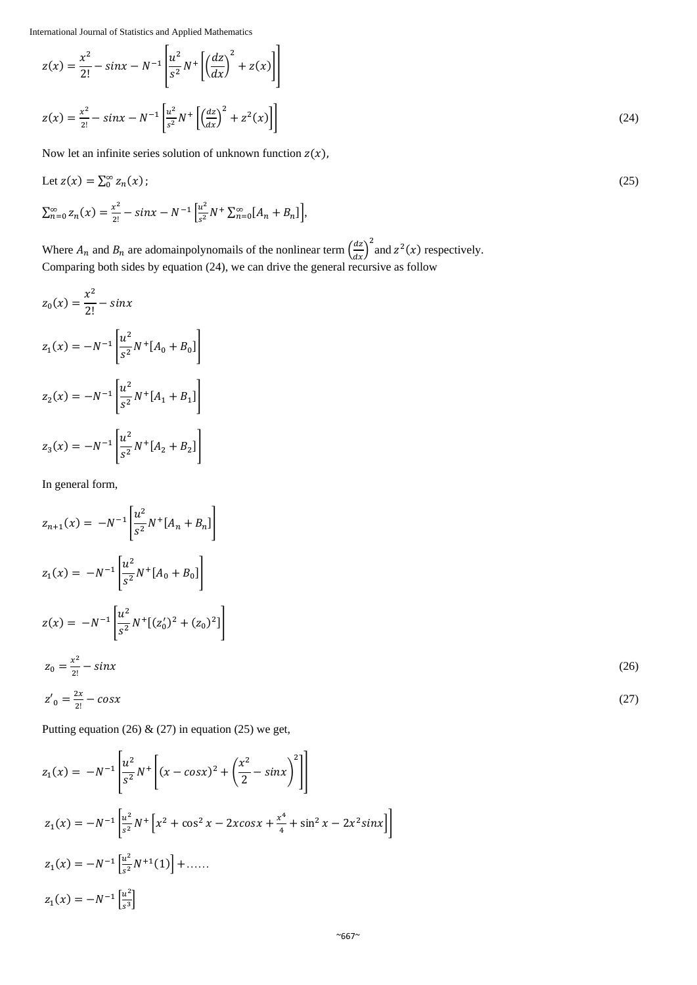$$
z(x) = \frac{x^2}{2!} - \sin x - N^{-1} \left[ \frac{u^2}{s^2} N^+ \left[ \left( \frac{dz}{dx} \right)^2 + z(x) \right] \right]
$$
  

$$
z(x) = \frac{x^2}{2!} - \sin x - N^{-1} \left[ \frac{u^2}{s^2} N^+ \left[ \left( \frac{dz}{dx} \right)^2 + z^2(x) \right] \right]
$$
 (24)

Now let an infinite series solution of unknown function  $z(x)$ ,

Let 
$$
z(x) = \sum_{0}^{\infty} z_n(x)
$$
;  
\n
$$
\sum_{n=0}^{\infty} z_n(x) = \frac{x^2}{2!} - \sin x - N^{-1} \left[ \frac{u^2}{s^2} N^+ \sum_{n=0}^{\infty} [A_n + B_n] \right],
$$
\n(25)

Where  $A_n$  and  $B_n$  are adomainpolynomails of the nonlinear term  $\left(\frac{dz}{dx}\right)^2$  and  $z^2(x)$  respectively. Comparing both sides by equation (24), we can drive the general recursive as follow

$$
z_0(x) = \frac{x^2}{2!} - \sin x
$$
  
\n
$$
z_1(x) = -N^{-1} \left[ \frac{u^2}{s^2} N^+ [A_0 + B_0] \right]
$$
  
\n
$$
z_2(x) = -N^{-1} \left[ \frac{u^2}{s^2} N^+ [A_1 + B_1] \right]
$$
  
\n
$$
z_3(x) = -N^{-1} \left[ \frac{u^2}{s^2} N^+ [A_2 + B_2] \right]
$$

In general form,

$$
z_{n+1}(x) = -N^{-1} \left[ \frac{u^2}{s^2} N^+ [A_n + B_n] \right]
$$
  
\n
$$
z_1(x) = -N^{-1} \left[ \frac{u^2}{s^2} N^+ [A_0 + B_0] \right]
$$
  
\n
$$
z(x) = -N^{-1} \left[ \frac{u^2}{s^2} N^+ [(z'_0)^2 + (z_0)^2] \right]
$$
  
\n
$$
z_0 = \frac{x^2}{2!} - \sin x
$$
  
\n
$$
z'_0 = \frac{2x}{2!} - \cos x
$$
  
\n(27)

Putting equation (26) & (27) in equation (25) we get,

$$
z_1(x) = -N^{-1} \left[ \frac{u^2}{s^2} N^+ \left[ (x - \cos x)^2 + \left( \frac{x^2}{2} - \sin x \right)^2 \right] \right]
$$
  
\n
$$
z_1(x) = -N^{-1} \left[ \frac{u^2}{s^2} N^+ \left[ x^2 + \cos^2 x - 2x \cos x + \frac{x^4}{4} + \sin^2 x - 2x^2 \sin x \right] \right]
$$
  
\n
$$
z_1(x) = -N^{-1} \left[ \frac{u^2}{s^2} N^{+1}(1) \right] + \dots
$$
  
\n
$$
z_1(x) = -N^{-1} \left[ \frac{u^2}{s^3} \right]
$$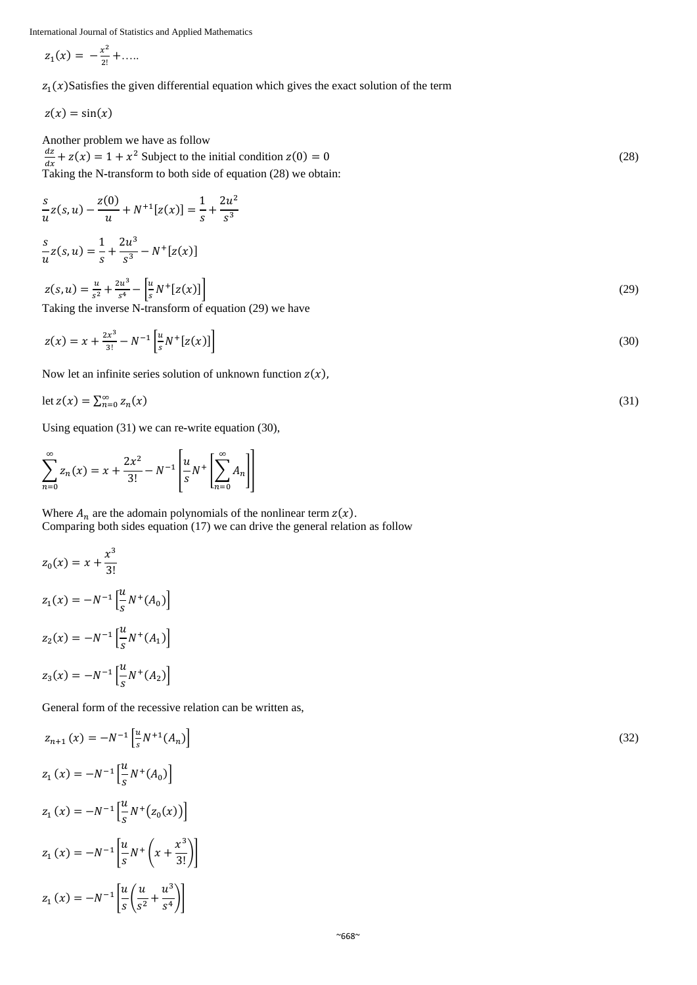$$
z_1(x) = -\frac{x^2}{2!} + \dots
$$

 $z_1(x)$ Satisfies the given differential equation which gives the exact solution of the term

$$
z(x)=\sin(x)
$$

Another problem we have as follow  $_{dz}$  $\frac{dz}{dx} + z(x) = 1 + x^2$  Subject to the initial condition  $z(0) = 0$  (28) Taking the N**-**transform to both side of equation (28) we obtain:

$$
\frac{s}{u}z(s, u) - \frac{z(0)}{u} + N^{+1}[z(x)] = \frac{1}{s} + \frac{2u^2}{s^3}
$$
  

$$
s \qquad 1 \qquad 2u^3 \qquad 1 \qquad 2u^5
$$

$$
\frac{3}{u}z(s,u) = \frac{1}{s} + \frac{2u}{s^3} - N^+[z(x)]
$$

$$
z(s, u) = \frac{u}{s^2} + \frac{2u^3}{s^4} - \left[\frac{u}{s}N^+ [z(x)]\right]
$$
  
Taking the inverse N-transform of equation (29) we have

$$
z(x) = x + \frac{2x^3}{3!} - N^{-1} \left[ \frac{u}{s} N^+ [z(x)] \right]
$$
\n(30)

Now let an infinite series solution of unknown function  $z(x)$ ,

$$
\det z(x) = \sum_{n=0}^{\infty} z_n(x) \tag{31}
$$

Using equation (31) we can re**-**write equation (30),

$$
\sum_{n=0}^{\infty} z_n(x) = x + \frac{2x^2}{3!} - N^{-1} \left[ \frac{u}{s} N^+ \left[ \sum_{n=0}^{\infty} A_n \right] \right]
$$

Where  $A_n$  are the adomain polynomials of the nonlinear term  $z(x)$ . Comparing both sides equation (17) we can drive the general relation as follow

$$
z_0(x) = x + \frac{x^3}{3!}
$$
  
\n
$$
z_1(x) = -N^{-1} \left[ \frac{u}{s} N^+(A_0) \right]
$$
  
\n
$$
z_2(x) = -N^{-1} \left[ \frac{u}{s} N^+(A_1) \right]
$$
  
\n
$$
z_3(x) = -N^{-1} \left[ \frac{u}{s} N^+(A_2) \right]
$$

General form of the recessive relation can be written as,

$$
z_{n+1}(x) = -N^{-1} \left[ \frac{u}{s} N^{+1}(A_n) \right]
$$
  
\n
$$
z_1(x) = -N^{-1} \left[ \frac{u}{s} N^+(A_0) \right]
$$
  
\n
$$
z_1(x) = -N^{-1} \left[ \frac{u}{s} N^+(z_0(x)) \right]
$$
  
\n
$$
z_1(x) = -N^{-1} \left[ \frac{u}{s} N^+(x + \frac{x^3}{3!}) \right]
$$
  
\n
$$
z_1(x) = -N^{-1} \left[ \frac{u}{s} \left( \frac{u}{s^2} + \frac{u^3}{s^4} \right) \right]
$$